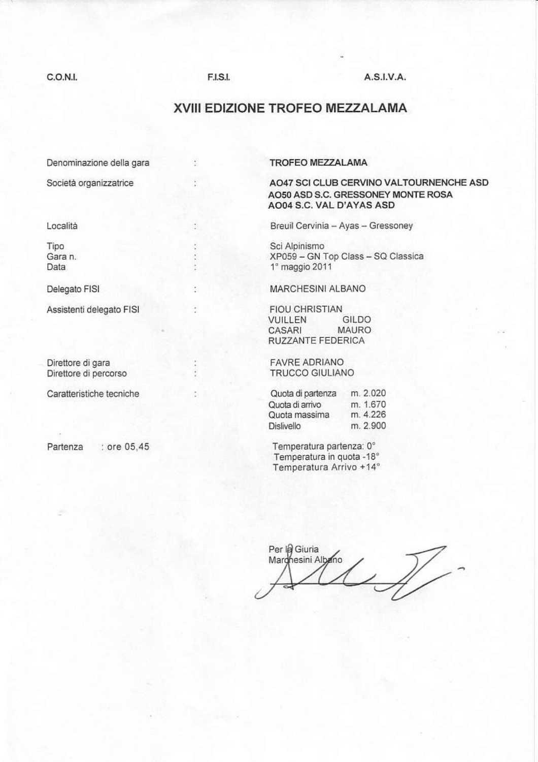## C.O.N.I.

## **F.I.S.I.**

t

÷

ÿ.

ł

ł

## $A.S.I.V.A.$

# XVIII EDIZIONE TROFEO MEZZALAMA

Denominazione della gara

Società organizzatrice

Località

Tipo Gara n. Data

Delegato FISI

Assistenti delegato FISI

Direttore di gara Direttore di percorso

Caratteristiche tecniche

Partenza

: ore 05,45

#### **TROFEO MEZZALAMA**

## AO47 SCI CLUB CERVINO VALTOURNENCHE ASD AO50 ASD S.C. GRESSONEY MONTE ROSA AO04 S.C. VAL D'AYAS ASD

Breuil Cervinia - Ayas - Gressoney

Sci Alpinismo XP059 - GN Top Class - SQ Classica 1° maggio 2011

MARCHESINI ALBANO

**FIOU CHRISTIAN** VUILLEN GILDO MAURO CASARI RUZZANTE FEDERICA

**FAVRE ADRIANO** TRUCCO GIULIANO

| Quota di partenza | m. 2.020 |
|-------------------|----------|
| Quota di arrivo   | m. 1.670 |
| Quota massima     | m. 4.226 |
| Dislivello        | m. 2.900 |

Temperatura partenza: 0° Temperatura in quota -18° Temperatura Arrivo +14°

Per la Giuria  $\mathscr{N}$ Marghesini Albano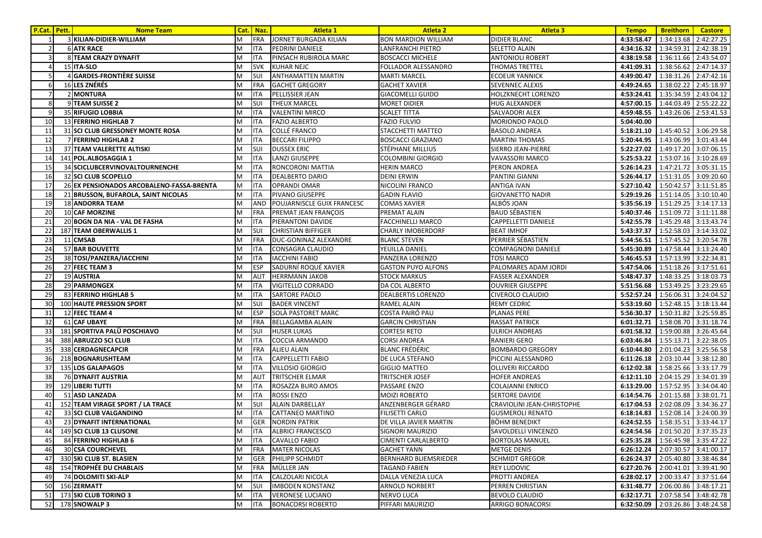| <b>P.Cat.</b> Pett. | <b>Nome Team</b>                          |   | Cat. Naz.  | <b>Atleta 1</b>              | <b>Atleta 2</b>            | <b>Atleta 3</b>            | <b>Tempo</b>                         | <b>Breithorn</b> | <b>Castore</b>        |
|---------------------|-------------------------------------------|---|------------|------------------------------|----------------------------|----------------------------|--------------------------------------|------------------|-----------------------|
|                     | 3 KILIAN-DIDIER-WILLIAM                   | М | <b>FRA</b> | <b>JORNET BURGADA KILIAN</b> | <b>BON MARDION WILLIAM</b> | <b>DIDIER BLANC</b>        | 4:33:58.47                           |                  | 1:34:13.68 2:42:27.25 |
|                     | <b>6 ATK RACE</b>                         | M | <b>ITA</b> | PEDRINI DANIELE              | LANFRANCHI PIETRO          | SELETTO ALAIN              | 4:34:16.32                           | 1:34:59.31       | 2:42:38.19            |
|                     | 8 TEAM CRAZY DYNAFIT                      | М | ITA        | PINSACH RUBIROLA MARC        | <b>BOSCACCI MICHELE</b>    | <b>ANTONIOLI ROBERT</b>    | 4:38:19.58                           |                  | 1:36:11.66 2:43:54.07 |
|                     | 15 ITA-SLO                                | М | <b>SVK</b> | <b>KUHAR NEJC</b>            | FOLLADOR ALESSANDRO        | <b>THOMAS TRETTEL</b>      | 4:41:09.31                           |                  | 1:38:56.62 2:47:14.37 |
|                     | 4 GARDES-FRONTIÈRE SUISSE                 | M | SUI        | <b>ANTHAMATTEN MARTIN</b>    | <b>MARTI MARCEL</b>        | <b>ECOEUR YANNICK</b>      | 4:49:00.47                           | 1:38:31.26       | 2:47:42.16            |
|                     | <b>16 LES ZNÉRÉS</b>                      | М | <b>FRA</b> | <b>GACHET GREGORY</b>        | <b>GACHET XAVIER</b>       | SEVENNEC ALEXIS            | 4:49:24.65                           | 1:38:02.22       | 2:45:18.97            |
| $\overline{7}$      | 2 MONTURA                                 | М | ITA        | PELLISSIER JEAN              | <b>GIACOMELLI GUIDO</b>    | HOLZKNECHT LORENZO         | 4:53:24.41                           | 1:35:34.59       | 2:43:04.12            |
| 8                   | 9TEAM SUISSE 2                            | M | SUI        | <b>THEUX MARCEL</b>          | <b>MORET DIDIER</b>        | HUG ALEXANDER              | 4:57:00.15                           | 1:44:03.49       | 2:55:22.22            |
|                     | 35 RIFUGIO LOBBIA                         | M | <b>ITA</b> | <b>VALENTINI MIRCO</b>       | <b>SCALET TITTA</b>        | SALVADORI ALEX             | 4:59:48.55                           | 1:43:26.06       | 2:53:41.53            |
| 10                  | 13 FERRINO HIGHLAB 7                      | M | <b>ITA</b> | <b>FAZIO ALBERTO</b>         | <b>FAZIO FULVIO</b>        | <b>MORIONDO PAOLO</b>      | 5:04:40.00                           |                  |                       |
| 11                  | 31 SCI CLUB GRESSONEY MONTE ROSA          | М | ITA        | <b>COLLÉ FRANCO</b>          | STACCHETTI MATTEO          | <b>BASOLO ANDREA</b>       | 5:18:21.10                           |                  | 1:45:40.52 3:06:29.58 |
| 12                  | 7 FERRINO HIGHLAB 2                       | M | ITA        | <b>BECCARI FILIPPO</b>       | <b>BOSCACCI GRAZIANO</b>   | <b>MARTINI THOMAS</b>      | 5:20:44.95                           | 1:43:06.99       | 3:01:43.44            |
| 13                  | 37 TEAM VALERETTE ALTISKI                 | М | SUI        | <b>DUSSEX ERIC</b>           | STÉPHANE MILLIUS           | SIERRO JEAN-PIERRE         | 5:22:27.02                           |                  | 1:49:17.20 3:07:06.15 |
| 14                  | 141 POL.ALBOSAGGIA 1                      | М | <b>ITA</b> | <b>LANZI GIUSEPPE</b>        | <b>COLOMBINI GIORGIO</b>   | <b>VAVASSORI MARCO</b>     | 5:25:53.22                           |                  | 1:53:07.16 3:10:28.69 |
| 15                  | 34 SCICLUBCERVINOVALTOURNENCHE            | M | ITA        | RONCORONI MATTIA             | <b>HERIN MARCO</b>         | PERON ANDREA               | 5:26:14.23                           |                  | 1:47:21.72 3:05:31.15 |
| 16                  | 32 SCI CLUB SCOPELLO                      | М | <b>ITA</b> | <b>DEALBERTO DARIO</b>       | <b>DEINI ERWIN</b>         | PANTINI GIANNI             | 5:26:44.17                           | 1:51:31.05       | 3:09:20.60            |
| 17                  | 26 EX PENSIONADOS ARCOBALENO-FASSA-BRENTA | M | ITA        | <b>OPRANDI OMAR</b>          | NICOLINI FRANCO            | ANTIGA IVAN                | 5:27:10.42                           | 1:50:42.57       | 3:11:51.85            |
| 18                  | 21 BRUSSON, BUFAROLA, SAINT NICOLAS       | M | ITA        | PIVANO GIUSEPPE              | <b>GADIN FLAVIO</b>        | <b>GIOVANETTO NADIR</b>    | 5:29:19.26                           | 1:51:14.05       | 3:10:10.40            |
| 19                  | <b>18 ANDORRA TEAM</b>                    | M | AND        | POUJARNISCLE GUIX FRANCESC   | <b>COMAS XAVIER</b>        | ALBÓS JOAN                 | 5:35:56.19                           | 1:51:29.25       | 3:14:17.13            |
| 20                  | 10 CAF MORZINE                            | M | <b>FRA</b> | PREMAT JEAN FRANÇOIS         | PREMAT ALAIN               | <b>BAUD SÉBASTIEN</b>      | 5:40:37.46                           | 1:51:09.72       | 3:11:11.88            |
| 21                  | 20 BOGN DA NIA - VAL DE FASHA             | M | <b>ITA</b> | PIERANTONI DAVIDE            | <b>FACCHINELLI MARCO</b>   | CAPPELLETTI DANIELE        | 5:42:55.78                           | 1:45:29.48       | 3:13:43.74            |
| 22                  | 187 TEAM OBERWALLIS 1                     | М | SUI        | <b>CHRISTIAN BIFFIGER</b>    | <b>CHARLY IMOBERDORF</b>   | <b>BEAT IMHOF</b>          | 5:43:37.37                           |                  | 1:52:58.03 3:14:33.02 |
| 23                  | 11 CMSAB                                  | М | <b>FRA</b> | DUC-GONINAZ ALEXANDRE        | <b>BLANC STEVEN</b>        | PERRIER SÉBASTIEN          | 5:44:56.51                           | 1:57:45.52       | 3:20:54.78            |
| 24                  | 57 BAR BOUVETTE                           | М | <b>ITA</b> | <b>CONSAGRA CLAUDIO</b>      | YEUILLA DANIEL             | COMPAGNONI DANIELE         | 5:45:30.89                           | 1:47:58.44       | 3:13:24.40            |
| 25                  | 38 TOSI/PANZERA/IACCHINI                  | М | ITA        | <b>IACCHINI FABIO</b>        | PANZERA LORENZO            | <b>TOSI MARCO</b>          | 5:46:45.53                           | 1:57:13.99       | 3:22:34.81            |
| 26                  | 27 FEEC TEAM 3                            | М | <b>ESP</b> | SADURNÍ ROQUÉ XAVIER         | <b>GASTON PUYO ALFONS</b>  | PALOMARES ADAM JORDI       | 5:47:54.06                           |                  | 1:51:18.26 3:17:51.61 |
| 27                  | 19 AUSTRIA                                | M | <b>AUT</b> | <b>HERRMANN JAKOB</b>        | <b>STOCK MARKUS</b>        | <b>FASSER ALEXANDER</b>    | 5:48:47.37                           | 1:48:33.25       | 3:18:03.73            |
| 28                  | 29 PARMONGEX                              | М | ITA        | VIGITELLO CORRADO            | DA COL ALBERTO             | <b>OUVRIER GIUSEPPE</b>    | 5:51:56.68                           | 1:53:49.25       | 3:23:29.65            |
| 29                  | 83 FERRINO HIGHLAB 5                      | М | ITA        | <b>SARTORE PAOLO</b>         | <b>DEALBERTIS LORENZO</b>  | CIVEROLO CLAUDIO           | 5:52:57.24                           | 1:56:06.31       | 3:24:04.52            |
| 30                  | <b>100 HAUTE PRESSION SPORT</b>           | M | SUI        | <b>BADER VINCENT</b>         | <b>RAMEL ALAIN</b>         | <b>REMY CEDRIC</b>         | 5:53:19.60                           |                  | 1:52:48.15 3:18:13.44 |
| 31                  | 12 FEEC TEAM 4                            | М | <b>ESP</b> | SOLÀ PASTORET MARC           | COSTA PAIRÓ PAU            | <b>PLANAS PERE</b>         | 5:56:30.37                           |                  | 1:50:31.82 3:25:59.85 |
| 32                  | <b>61 CAF UBAYE</b>                       | М | <b>FRA</b> | <b>BELLAGAMBA ALAIN</b>      | <b>GARCIN CHRISTIAN</b>    | <b>RASSAT PATRICK</b>      | 6:01:32.71                           |                  | 1:58:08.70 3:31:18.74 |
| 33                  | 181 SPORTIVA PALÜ POSCHIAVO               | M | SUI        | <b>HUSER LUKAS</b>           | <b>CORTESI RETO</b>        | <b>ULRICH ANDREAS</b>      | 6:01:58.32                           |                  | 1:59:00.88 3:26:45.64 |
| 34                  | 388 ABRUZZO SCI CLUB                      | M | ITA        | COCCIA ARMANDO               | <b>CORSI ANDREA</b>        | RANIERI GERO               | 6:03:46.84                           |                  | 1:55:13.71 3:22:38.05 |
| 35                  | 338 CERDAGNECAPCIR                        | M | <b>FRA</b> | <b>ALIEU ALAIN</b>           | <b>BLANC FRÉDÉRIC</b>      | <b>BOMBARDO GREGORY</b>    | 6:10:44.80                           |                  | 2:01:04.23 3:25:56.58 |
| 36                  | 218 BOGNARUSHTEAM                         | М | <b>ITA</b> | <b>CAPPELLETTI FABIO</b>     | DE LUCA STEFANO            | PICCINI ALESSANDRO         | 6:11:26.18                           |                  | 2:03:10.44 3:38:12.80 |
| 37                  | 135 LOS GALAPAGOS                         | M | ITA        | <b>VILLOSIO GIORGIO</b>      | <b>GIGLIO MATTEO</b>       | <b>OLLIVERI RICCARDO</b>   | 6:12:02.38                           | 1:58:25.66       | 3:33:17.79            |
| 38                  | <b>76 DYNAFIT AUSTRIA</b>                 | M | AUT        | <b>TRITSCHER ELMAR</b>       | TRITSCHER JOSEF            | <b>HOFER ANDREAS</b>       | 6:12:11.10                           |                  | 2:04:15.29 3:34:01.39 |
| 39                  | 129 LIBERI TUTTI                          | M | <b>ITA</b> | ROSAZZA BURO AMOS            | <b>PASSARE ENZO</b>        | <b>COLAJANNI ENRICO</b>    | 6:13:29.00                           |                  | 1:57:52.95 3:34:04.40 |
| 40                  | 51 ASD LANZADA                            | M | ITA        | <b>ROSSI ENZO</b>            | MOIZI ROBERTO              | SERTORE DAVIDE             | 6:14:54.76                           |                  | 2:01:15.88 3:38:01.71 |
| 41                  | 152 TEAM VIRAGE SPORT / LA TRACE          | M | SUI        | <b>ALAIN DARBELLAY</b>       | ANZENBERGER GÉRARD         | CRAVIOLINI JEAN-CHRISTOPHE | 6:17:04.53                           | 2:02:08.09       | 3:34:36.27            |
| 42                  | 33 SCI CLUB VALGANDINO                    | M | <b>ITA</b> | CATTANEO MARTINO             | <b>FILISETTI CARLO</b>     | <b>GUSMEROLI RENATO</b>    | 6:18:14.83                           |                  | 1:52:08.14 3:24:00.39 |
| 43                  | 23 DYNAFIT INTERNATIONAL                  | M | <b>GER</b> | <b>NORDIN PATRIK</b>         | DE VILLA JAVIER MARTIN     | <b>BÖHM BENEDIKT</b>       | 6:24:52.55   1:58:35.51   3:33:44.17 |                  |                       |
| 44                  | 149 SCI CLUB 13 CLUSONE                   | M | <b>ITA</b> | <b>ALBRICI FRANCESCO</b>     | <b>SIGNORI MAURIZIO</b>    | SAVOLDELLI VINCENZO        | 6:24:54.56 2:01:50.20 3:37:35.23     |                  |                       |
| 45                  | 84 FERRINO HIGHLAB 6                      | M | <b>ITA</b> | <b>CAVALLO FABIO</b>         | CIMENTI CARLALBERTO        | <b>BORTOLAS MANUEL</b>     | 6:25:35.28   1:56:45.98   3:35:47.22 |                  |                       |
| 46                  | <b>30 CSA COURCHEVEL</b>                  | M | <b>FRA</b> | <b>MATER NICOLAS</b>         | <b>GACHET YANN</b>         | METGE DENIS                | 6:26:12.24                           |                  | 2:07:30.57 3:41:00.17 |
| 47                  | 330 SKI CLUB ST. BLASIEN                  | М | <b>GER</b> | PHILIPP SCHMIDT              | BERNHARD BLIEMSRIEDER      | <b>SCHMIDT GREGOR</b>      | 6:26:24.37                           |                  | 2:05:40.80 3:38:46.84 |
| 48                  | <b>154 TROPHÉE DU CHABLAIS</b>            | M | <b>FRA</b> | MÜLLER JAN                   | <b>TAGAND FABIEN</b>       | <b>REY LUDOVIC</b>         | 6:27:20.76                           |                  | 2:00:41.01 3:39:41.90 |
| 49                  | 74 DOLOMITI SKI-ALP                       | M | ITA        | CALZOLARI NICOLA             | <b>DALLA VENEZIA LUCA</b>  | PROTTI ANDREA              | 6:28:02.17                           |                  | 2:00:33.47 3:37:51.64 |
| 50                  | 156 ZERMATT                               | M | SUI        | <b>IMBODEN KONSTANZ</b>      | ARNOLD NORBERT             | PERREN CHRISTIAN           | 6:31:48.77                           |                  | 2:06:00.86 3:48:17.21 |
| 51                  | 173 SKI CLUB TORINO 3                     | M | <b>ITA</b> | <b>VERONESE LUCIANO</b>      | NERVO LUCA                 | <b>BEVOLO CLAUDIO</b>      | 6:32:17.71                           |                  | 2:07:58.54 3:48:42.78 |
| 52                  | 178 SNOWALP 3                             | M | ITA        | <b>BONACORSI ROBERTO</b>     | PIFFARI MAURIZIO           | ARRIGO BONACORSI           | 6:32:50.09                           |                  | 2:03:26.86 3:48:24.58 |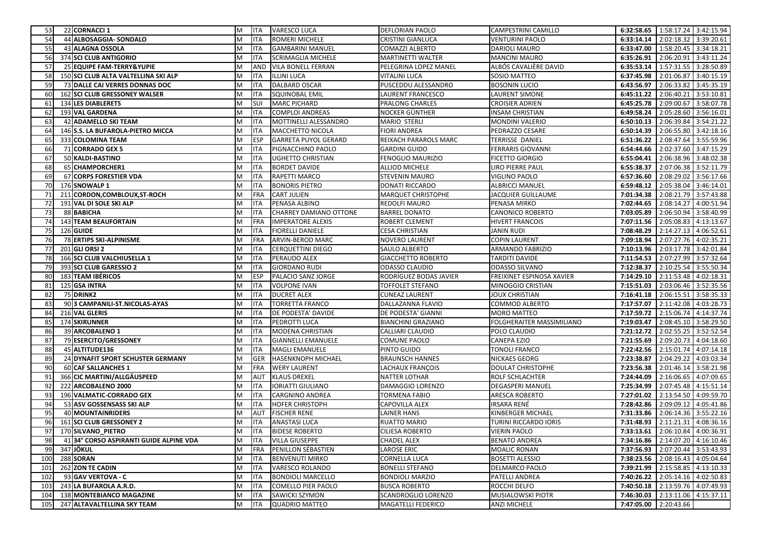| 53  | 22 CORNACCI 1                           | M                       | <b>ITA</b> | <b>VARESCO LUCA</b>       | DEFLORIAN PAOLO           | <b>CAMPESTRINI CAMILLO</b> |            | 6:32:58.65   1:58:17.24   3:42:15.94 |            |
|-----|-----------------------------------------|-------------------------|------------|---------------------------|---------------------------|----------------------------|------------|--------------------------------------|------------|
| 54  | 44 ALBOSAGGIA- SONDALO                  | M                       | <b>ITA</b> | ROMERI MICHELE            | CRISTINI GIANLUCA         | <b>VENTURINI PAOLO</b>     | 6:33:14.14 | 2:02:18.32 3:39:20.61                |            |
| 55  | <b>43 ALAGNA OSSOLA</b>                 | M                       | <b>ITA</b> | <b>GAMBARINI MANUEL</b>   | COMAZZI ALBERTO           | DARIOLI MAURO              | 6:33:47.00 | 1:58:20.45 3:34:18.21                |            |
| -56 | 374 SCI CLUB ANTIGORIO                  | M                       | <b>ITA</b> | SCRIMAGLIA MICHELE        | MARTINETTI WALTER         | <b>MANCINI MAURO</b>       | 6:35:26.91 | 2:06:20.91                           | 3:43:11.24 |
| 57  | 25 EQUIPE FAM-TERRY&YUPIE               | M                       | <b>AND</b> | VILA BONELL FERRAN        | PELEGRINA LOPEZ MANEL     | ALBÓS CAVALIÈRE DAVID      | 6:35:53.14 | 1:57:31.55 3:28:50.89                |            |
| 58  | 150 SCI CLUB ALTA VALTELLINA SKI ALP    | M                       | <b>ITA</b> | <b>ILLINI LUCA</b>        | VITALINI LUCA             | SOSIO MATTEO               | 6:37:45.98 | 2:01:06.87                           | 3:40:15.19 |
| 59  | 73 DALLE CAI VERRES DONNAS DOC          | M                       | <b>ITA</b> | DALBARD OSCAR             | PUSCEDDU ALESSANDRO       | <b>BOSONIN LUCIO</b>       | 6:43:56.97 | 2:06:33.82 3:45:35.19                |            |
| 60  | 162 SCI CLUB GRESSONEY WALSER           | M                       | <b>ITA</b> | SQUINOBAL EMIL            | LAURENT FRANCESCO         | LAURENT SIMONE             | 6:45:11.22 | 2:06:40.21                           | 3:53:10.81 |
| 61  | 134 LES DIABLERETS                      | M                       | SUI        | <b>MARC PICHARD</b>       | PRALONG CHARLES           | <b>CROISIER ADRIEN</b>     | 6:45:25.78 | 2:09:00.67                           | 3:58:07.78 |
| 62  | 193 VAL GARDENA                         | M                       | <b>ITA</b> | COMPLOI ANDREAS           | NOCKER GÜNTHER            | <b>INSAM CHRISTIAN</b>     | 6:49:58.24 | 2:05:28.60                           | 3:56:16.01 |
| 63  | 42 ADAMELLO SKI TEAM                    | M                       | <b>ITA</b> | MOTTINELLI ALESSANDRO     | <b>MARIO STERLI</b>       | <b>MONDINI VALERIO</b>     | 6:50:10.13 | 2:06:39.84                           | 3:54:21.22 |
| 64  | 146 S.S. LA BUFAROLA-PIETRO MICCA       | M                       | <b>ITA</b> | MACCHETTO NICOLA          | <b>FIORI ANDREA</b>       | PEDRAZZO CESARE            | 6:50:14.39 | 2:06:55.80                           | 3:42:18.16 |
| 65  | 333 COLOMINA TEAM                       | M                       | <b>ESP</b> | GARRETA PUYOL GERARD      | REIXACH PARAROLS MARC     | <b>TERRISSE DANIEL</b>     | 6:51:36.22 | 2:08:47.64 3:55:59.96                |            |
| 66  | 71 CORRADO GEX 5                        | M                       | <b>ITA</b> | PIGNACCHINO PAOLO         | <b>GARDINI GUIDO</b>      | <b>FERRARIS GIOVANNI</b>   | 6:54:44.66 | 2:02:37.60 3:47:15.29                |            |
| 67  | 50 KALDI-BASTINO                        | M                       | <b>ITA</b> | UGHETTO CHRISTIAN         | FENOGLIO MAURIZIO         | <b>FICETTO GIORGIO</b>     | 6:55:04.41 | 2:06:38.96 3:48:02.38                |            |
| 68  | 65 CHAMPORCHER1                         | M                       | <b>ITA</b> | <b>BORDET DAVIDE</b>      | ALLIOD MICHELE            | LIRO PIERRE PAUL           | 6:55:38.37 | 2:07:06.38                           | 3:52:11.79 |
| 69  | 67 CORPS FORESTIER VDA                  | M                       | <b>ITA</b> | RAPETTI MARCO             | STEVENIN MAURO            | <b>VIGLINO PAOLO</b>       | 6:57:36.60 | 2:08:29.02 3:56:17.66                |            |
| 70  | 176 SNOWALP 1                           | M                       | <b>ITA</b> | <b>BONORIS PIETRO</b>     | DONATI RICCARDO           | <b>ALBRICCI MANUEL</b>     | 6:59:48.12 | 2:05:38.04 3:46:14.01                |            |
| 71  | 211 CORDON, COMBLOUX, ST-ROCH           | M                       | <b>FRA</b> | <b>CART JULIEN</b>        | MARQUET CHRISTOPHE        | JACQUIER GUILLAUME         | 7:01:34.38 | 2:08:21.79                           | 3:57:43.88 |
| 72  | 191 VAL DI SOLE SKI ALP                 | M                       | <b>ITA</b> | PENASA ALBINO             | REDOLFI MAURO             | PENASA MIRKO               | 7:02:44.65 | 2:08:14.27                           | 4:00:51.94 |
| 73  | 88 BABICHA                              | M                       | <b>ITA</b> | CHARREY DAMIANO OTTONE    | <b>BARREL DONATO</b>      | <b>CANONICO ROBERTO</b>    | 7:03:05.89 | 2:06:50.94 3:58:40.99                |            |
| -74 | <b>143 TEAM BEAUFORTAIN</b>             | M                       | <b>FRA</b> | <b>IMPERATORE ALEXIS</b>  | ROBERT CLEMENT            | <b>HIVERT FRANCOIS</b>     | 7:07:11.56 | 2:05:08.83                           | 4:13:13.67 |
| 75  | 126 GUIDE                               | M                       | <b>ITA</b> | <b>FIORELLI DANIELE</b>   | <b>CESA CHRISTIAN</b>     | <b>JANIN RUDI</b>          | 7:08:48.29 | 2:14:27.13 4:06:52.61                |            |
| 76  | 78 ERTIPS SKI-ALPINISME                 | M                       | <b>FRA</b> | ARVIN-BEROD MARC          | <b>NOVERO LAURENT</b>     | <b>COPIN LAURENT</b>       | 7:09:18.94 | 2:07:27.76 4:02:35.21                |            |
| 77  | 201 GLI ORSI 2                          | M                       | <b>ITA</b> | CERQUETTINI DIEGO         | SAULO ALBERTO             | ARMANDO FABRIZIO           | 7:10:13.96 | 2:03:17.78 3:42:01.84                |            |
| 78  | 166 SCI CLUB VALCHIUSELLA 1             | M                       | <b>ITA</b> | PERAUDO ALEX              | <b>GIACCHETTO ROBERTO</b> | <b>TARDITI DAVIDE</b>      | 7:11:54.53 | 2:07:27.99                           | 3:57:32.64 |
| 79  | 393 SCI CLUB GARESSIO 2                 | M                       | <b>ITA</b> | <b>GIORDANO RUDI</b>      | ODASSO CLAUDIO            | <b>ODASSO SILVANO</b>      | 7:12:38.37 | 2:10:25.54 3:55:50.34                |            |
| 80  | 183 TEAM IBÉRICOS                       | M                       | <b>ESP</b> | PALACIO SANZ JORGE        | RODRÍGUEZ BODAS JAVIER    | FREIXINET ESPINOSA XAVIER  | 7:14:29.10 | 2:11:53.48                           | 4:02:18.31 |
| 81  | 125 GSA INTRA                           | M                       | <b>ITA</b> | <b>VOLPONE IVAN</b>       | <b>TOFFOLET STEFANO</b>   | MINOGGIO CRISTIAN          | 7:15:51.03 | 2:03:06.46                           | 3:52:35.56 |
| -82 | 75 DRINK2                               | M                       | <b>ITA</b> | <b>DUCRET ALEX</b>        | <b>CUNEAZ LAURENT</b>     | <b>JOUX CHRISTIAN</b>      | 7:16:41.18 | 2:06:15.51 3:58:35.33                |            |
| 83  | 90 3 CAMPANILI-ST.NICOLAS-AYAS          | M                       | <b>ITA</b> | TORRETTA FRANCO           | DALLAZANNA FLAVIO         | COMMOD ALBERTO             | 7:17:57.07 | 2:11:42.08                           | 4:03:28.73 |
| 84  | 216 VAL GLERIS                          | M                       | <b>ITA</b> | DE PODESTA' DAVIDE        | DE PODESTA' GIANNI        | MORO MATTEO                | 7:17:59.72 | 2:15:06.74                           | 4:14:37.74 |
| 85  | <b>174 SKIRUNNER</b>                    | M                       | <b>ITA</b> | PEDROTTI LUCA             | <b>BIANCHINI GRAZIANO</b> | FOLGHERAITER MASSIMILIANO  | 7:19:03.47 | 2:08:45.10 3:58:29.50                |            |
| 86  | 39 ARCOBALENO 1                         | M                       | <b>ITA</b> | MODENA CHRISTIAN          | CALLIARI CLAUDIO          | POLO CLAUDIO               | 7:21:12.72 | 2:02:55.25                           | 3:52:52.54 |
| 87  | 79 ESERCITO/GRESSONEY                   | M                       | <b>ITA</b> | <b>GIANNELLI EMANUELE</b> | COMUNE PAOLO              | CANEPA EZIO                | 7:21:55.69 | 2:09:20.73                           | 4:04:18.60 |
| 88  | 45 ALTITUDE136                          | M                       | <b>ITA</b> | <b>MAGLI EMANUELE</b>     | PINTO GUIDO               | TONOLI FRANCO              | 7:22:42.56 | 2:15:01.74                           | 4:07:14.18 |
| 89  | 24 DYNAFIT SPORT SCHUSTER GERMANY       | M                       | GER        | HASENKNOPH MICHAEL        | <b>BRAUNSCH HANNES</b>    | NICKAES GEORG              | 7:23:38.87 | 2:04:29.22                           | 4:03:03.34 |
| 90  | <b>60 CAF SALLANCHES 1</b>              | M                       | <b>FRA</b> | <b>WERY LAURENT</b>       | LACHAUX FRANÇOIS          | DOULAT CHRISTOPHE          | 7:23:56.38 | 2:01:46.14                           | 3:58:21.98 |
| 91  | 366 CIC MARTINI/ALLGÄUSPEED             | M                       | <b>AUT</b> | <b>KLAUS DREXEL</b>       | <b>NATTER LOTHAR</b>      | ROLF SCHLACHTER            | 7:24:44.09 | 2:16:06.65                           | 4:07:09.65 |
| 92  | 222 ARCOBALENO 2000                     | M                       | <b>ITA</b> | <b>IORIATTI GIULIANO</b>  | DAMAGGIO LORENZO          | <b>DEGASPERI MANUEL</b>    | 7:25:34.99 | 2:07:45.48                           | 4:15:51.14 |
| 93  | 196 VALMATIC-CORRADO GEX                | M                       | <b>ITA</b> | CARGNINO ANDREA           | TORMENA FABIO             | ARESCA ROBERTO             | 7:27:01.02 | 2:13:54.50                           | 4:09:59.70 |
| 94  | 53 ASV GOSSENSASS SKI ALP               | M                       | <b>ITA</b> | <b>HOFER CHRISTOPH</b>    | CAPOVILLA ALEX            | IRSARA RENÉ                | 7:28:42.86 | 2:09:09.12                           | 4:05:41.86 |
| 95  | <b>40 MOUNTAINRIDERS</b>                | M                       | AUT        | <b>FISCHER RENE</b>       | LAINER HANS               | KINBERGER MICHAEL          | 7:31:33.86 | 2:06:14.36 3:55:22.16                |            |
| 96  | 161 SCI CLUB GRESSONEY 2                | M                       | <b>ITA</b> | ANASTASI LUCA             | RUATTO MARIO              | TURINI RICCARDO IORIS      |            | 7:31:48.93 2:11:21.31 4:08:36.16     |            |
| 97  | 170 SILVANO_PIETRO                      | $\overline{\mathsf{M}}$ | <b>ITA</b> | <b>BIDESE ROBERTO</b>     | <b>CILIESA ROBERTO</b>    | <b>VIERIN PAOLO</b>        |            | 7:33:13.61 2:06:10.84 4:00:36.91     |            |
| 98  | 41 34° CORSO ASPIRANTI GUIDE ALPINE VDA | M                       | <b>ITA</b> | <b>VILLA GIUSEPPE</b>     | <b>CHADEL ALEX</b>        | <b>BENATO ANDREA</b>       |            | 7:34:16.86 2:14:07.20 4:16:10.46     |            |
| 99  | 347 JÖKUL                               | M                       | <b>FRA</b> | PENILLON SÉBASTIEN        | LAROSE ERIC               | <b>MOALIC RONAN</b>        | 7:37:56.93 | 2:07:20.44 3:53:43.93                |            |
| 100 | 288 SORAN                               | M                       | <b>ITA</b> | <b>BENVENUTI MIRKO</b>    | CORNELLA LUCA             | <b>BOSETTI ALESSIO</b>     | 7:38:23.56 | 2:08:16.43 4:05:04.64                |            |
| 101 | 262 ZON TE CADIN                        | M                       | <b>ITA</b> | VARESCO ROLANDO           | <b>BONELLI STEFANO</b>    | DELMARCO PAOLO             | 7:39:21.99 | 2:15:58.85 4:13:10.33                |            |
| 102 | 93 GAV VERTOVA - C                      | M                       | <b>ITA</b> | <b>BONDIOLI MARCELLO</b>  | <b>BONDIOLI MARZIO</b>    | PATELLI ANDREA             | 7:40:26.22 | 2:05:14.16 4:02:50.83                |            |
| 103 | 243 LA BUFAROLA A.R.D.                  | M                       | <b>ITA</b> | COMELLO PIER PAOLO        | <b>BUSCA ROBERTO</b>      | ROCCHI DELFO               | 7:40:50.18 | 2:13:59.76 4:07:49.93                |            |
| 104 | 138 MONTEBIANCO MAGAZINE                | M                       | <b>ITA</b> | SAWICKI SZYMON            | SCANDROGLIO LORENZO       | MUSIALOWSKI PIOTR          | 7:46:30.03 | 2:13:11.06 4:15:37.11                |            |
| 105 | 247 ALTAVALTELLINA SKY TEAM             | M                       | <b>ITA</b> | <b>QUADRIO MATTEO</b>     | MAGATELLI FEDERICO        | <b>ANZI MICHELE</b>        | 7:47:05.00 | 2:20:43.66                           |            |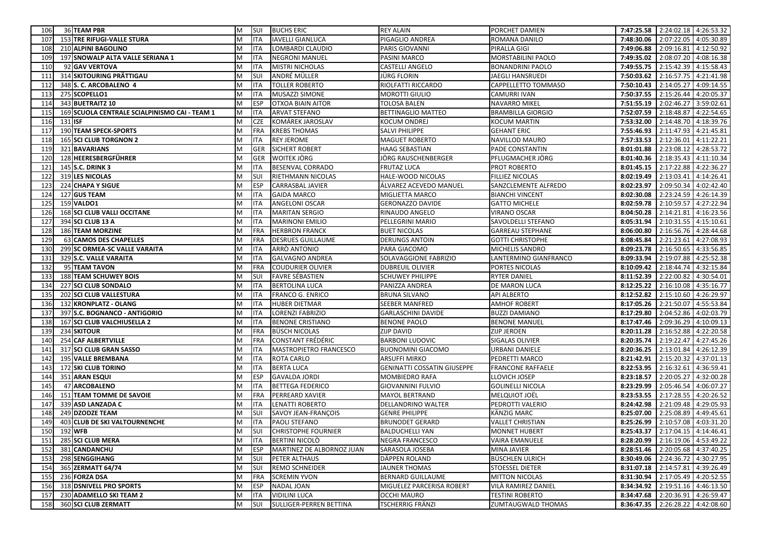| 106             | 36 TEAM PBR                                   | M | SUI        | <b>BUCHS ERIC</b>          | <b>REY ALAIN</b>                   | PORCHET DAMIEN           | 7:47:25.58 | 2:24:02.18 4:26:53.32            |            |
|-----------------|-----------------------------------------------|---|------------|----------------------------|------------------------------------|--------------------------|------------|----------------------------------|------------|
| 107             | 153 TRE RIFUGI-VALLE STURA                    | M | <b>ITA</b> | <b>IAVELLI GIANLUCA</b>    | PIGAGLIO ANDREA                    | ROMANA DANILO            | 7:48:30.06 | 2:07:22.05                       | 4:05:30.89 |
| 108             | 210 ALPINI BAGOLINO                           | M | <b>ITA</b> | LOMBARDI CLAUDIO           | PARIS GIOVANNI                     | PIRALLA GIGI             | 7:49:06.88 | 2:09:16.81                       | 4:12:50.92 |
| 109             | 197 SNOWALP ALTA VALLE SERIANA 1              | M | <b>ITA</b> | <b>NEGRONI MANUEL</b>      | PASINI MARCO                       | MORSTABILINI PAOLO       | 7:49:35.02 | 2:08:07.20                       | 4:08:16.38 |
| 110             | 92 GAV VERTOVA                                | M | <b>ITA</b> | <b>MISTRI NICHOLAS</b>     | CASTELLI ANGELO                    | <b>BONANDRINI PAOLO</b>  | 7:49:55.75 | 2:15:42.39                       | 4:15:58.43 |
| 11              | 314 SKITOURING PRÄTTIGAU                      | M | SUI        | ANDRÉ MÜLLER               | JÜRG FLORIN                        | JAEGLI HANSRUEDI         | 7:50:03.62 | 2:16:57.75                       | 4:21:41.98 |
| 112             | 348 S. C. ARCOBALENO 4                        | M | <b>ITA</b> | <b>TOLLER ROBERTO</b>      | RIOLFATTI RICCARDO                 | CAPPELLETTO TOMMASO      | 7:50:10.43 | 2:14:05.27                       | 4:09:14.55 |
| 113             | 275 SCOPELLO1                                 | M | <b>ITA</b> | MUSAZZI SIMONE             | MOROTTI GIULIO                     | <b>CAMURRI IVAN</b>      | 7:50:37.55 | 2:15:26.44                       | 4:20:05.37 |
| 11 <sup>2</sup> | 343 BUETRAITZ 10                              | M | <b>ESP</b> | OTXOA BIAIN AITOR          | TOLOSA BALEN                       | NAVARRO MIKEL            | 7:51:55.19 | 2:02:46.27                       | 3:59:02.61 |
| 115             | 169 SCUOLA CENTRALE SCIALPINISMO CAI - TEAM 1 | M | <b>ITA</b> | ARVAT STEFANO              | <b>BETTINAGLIO MATTEO</b>          | <b>BRAMBILLA GIORGIO</b> | 7:52:07.59 | 2:18:48.87                       | 4:22:54.65 |
| 116             | 131 ISF                                       | M | <b>CZE</b> | KOMÁREK JAROSLAV           | KOCUM ONDREJ                       | <b>KOCUM MARTIN</b>      | 7:53:32.00 | 2:14:48.70                       | 4:18:39.76 |
| 117             | 190 TEAM SPECK-SPORTS                         | M | <b>FRA</b> | <b>KREBS THOMAS</b>        | SALVI PHILIPPE                     | <b>GEHANT ERIC</b>       | 7:55:46.93 | 2:11:47.93                       | 4:21:45.81 |
| 118             | <b>165 SCI CLUB TORGNON 2</b>                 | M | <b>ITA</b> | <b>REY JEROME</b>          | <b>MAGUET ROBERTO</b>              | <b>NAVILLOD MAURO</b>    | 7:57:33.53 | 2:12:36.01                       | 4:11:22.21 |
| 119             | 321 BAVARIANS                                 | M | <b>GER</b> | <b>SICHERT ROBERT</b>      | HAAG SEBASTIAN                     | PADE CONSTANTIN          | 8:01:01.88 | 2:23:08.12                       | 4:28:53.72 |
| 12 <sub>C</sub> | 128 HEERESBERGFÜHRER                          | M | <b>GER</b> | WOITEK JÖRG                | JÖRG RAUSCHENBERGER                | PFLUGMACHER JÖRG         | 8:01:40.36 | 2:18:35.43                       | 4:11:10.34 |
| 121             | 145 S.C. DRINK 3                              | M | <b>ITA</b> | BESENVAL CORRADO           | FRUTAZ LUCA                        | PROT ROBERTO             | 8:01:45.15 | 2:17:22.88                       | 4:22:36.27 |
| 122             | 319 LES NICOLAS                               | M | SUI        | RIETHMANN NICOLAS          | HALE-WOOD NICOLAS                  | FILLIEZ NICOLAS          | 8:02:19.49 | 2:13:03.41                       | 4:14:26.41 |
| 12 <sup>3</sup> | 224 CHAPA Y SIGUE                             | M | <b>ESP</b> | CARRASBAL JAVIER           | ÁLVAREZ ACEVEDO MANUEL             | SANZCLEMENTE ALFREDO     | 8:02:23.97 | 2:09:50.34                       | 4:02:42.40 |
| 124             | 127 GUS TEAM                                  | M | <b>ITA</b> | <b>GAIDA MARCO</b>         | MIGLIETTA MARCO                    | <b>BIANCHI VINCENT</b>   | 8:02:30.08 | 2:23:24.59                       | 4:26:14.39 |
| 125             | 159 VALDO1                                    | M | <b>ITA</b> | ANGELONI OSCAR             | <b>GERONAZZO DAVIDE</b>            | <b>GATTO MICHELE</b>     | 8:02:59.78 | 2:10:59.57                       | 4:27:22.94 |
| 126             | <b>168 SCI CLUB VALLI OCCITANE</b>            | M | <b>ITA</b> | <b>MARITAN SERGIO</b>      | RINAUDO ANGELO                     | <b>VIRANO OSCAR</b>      | 8:04:50.28 | 2:14:21.81                       | 4:16:23.56 |
| 127             | 394 SCI CLUB 13 A                             | M | <b>ITA</b> | <b>MARINONI EMILIO</b>     | PELLEGRINI MARIO                   | SAVOLDELLI STEFANO       | 8:05:31.94 | 2:10:31.55                       | 4:15:10.61 |
| 128             | <b>186 TEAM MORZINE</b>                       | M | <b>FRA</b> | <b>HERBRON FRANCK</b>      | <b>BUET NICOLAS</b>                | <b>GARREAU STEPHANE</b>  | 8:06:00.80 | 2:16:56.76                       | 4:28:44.68 |
| 129             | 63 CAMOS DES CHAPELLES                        | M | <b>FRA</b> | DESRUES GUILLAUME          | <b>DERUNGS ANTOIN</b>              | <b>GOTTI CHRISTOPHE</b>  | 8:08:45.84 | 2:21:23.61                       | 4:27:08.93 |
| 130             | 299 SC ORMEA-SC VALLE VARAITA                 | M | <b>ITA</b> | ARRÒ ANTONIO               | PARA GIACOMO                       | MICHELIS SANDRO          | 8:09:23.78 | 2:16:50.65                       | 4:33:56.85 |
| 131             | 329 S.C. VALLE VARAITA                        | M | <b>ITA</b> | GALVAGNO ANDREA            | SOLAVAGGIONE FABRIZIO              | LANTERMINO GIANFRANCO    | 8:09:33.94 | 2:19:07.88                       | 4:25:52.38 |
| 132             | 95 TEAM TAVON                                 | M | FRA        | COUDURIER OLIVIER          | <b>DUBREUIL OLIVIER</b>            | PORTES NICOLAS           | 8:10:09.42 | 2:18:44.74                       | 4:32:15.84 |
| 133             | <b>188 TEAM SCHUWEY BOIS</b>                  | M | SUI        | FAVRE SÉBASTIEN            | <b>SCHUWEY PHILIPPE</b>            | <b>RYTER DANIEL</b>      | 8:11:52.39 | 2:22:00.82                       | 4:30:54.01 |
| 134             | 227 SCI CLUB SONDALO                          | M | <b>ITA</b> | BERTOLINA LUCA             | PANIZZA ANDREA                     | DE MARON LUCA            | 8:12:25.22 | 2:16:10.08                       | 4:35:16.77 |
| 135             | 202 SCI CLUB VALLESTURA                       | M | <b>ITA</b> | FRANCO G. ENRICO           | <b>BRUNA SILVANO</b>               | <b>API ALBERTO</b>       | 8:12:52.82 | 2:15:10.60                       | 4:26:29.97 |
| 136             | 132 KRONPLATZ - OLANG                         | M | <b>ITA</b> | HUBER DIETMAR              | SEEBER MANFRED                     | <b>AMHOF ROBERT</b>      | 8:17:05.26 | 2:21:50.07                       | 4:55:53.84 |
| 137             | 397 S.C. BOGNANCO - ANTIGORIO                 | M | <b>ITA</b> | LORENZI FABRIZIO           | <b>GARLASCHINI DAVIDE</b>          | <b>BUZZI DAMIANO</b>     | 8:17:29.80 | 2:04:52.86                       | 4:02:03.79 |
| 138             | 167 SCI CLUB VALCHIUSELLA 2                   | M | <b>ITA</b> | <b>BENONE CRISTIANO</b>    | <b>BENONE PAOLO</b>                | <b>BENONE MANUEL</b>     | 8:17:47.46 | 2:09:36.29                       | 4:10:09.13 |
| 139             | 234 SKITOUR                                   | M | <b>FRA</b> | BÜSCH NICOLAS              | <b>ZIJP DAVID</b>                  | ZIJP JEROEN              | 8:20:11.28 | 2:16:52.88                       | 4:22:20.58 |
| 140             | 254 CAF ALBERTVILLE                           | M | <b>FRA</b> | CONSTANT FRÉDÉRIC          | <b>BARBONI LUDOVIC</b>             | SIGALAS OLIVIER          | 8:20:35.74 | 2:19:22.47                       | 4:27:45.26 |
| 141             | 317 SCI CLUB GRAN SASSO                       | M | <b>ITA</b> | MASTROPIETRO FRANCESCO     | <b>BUONOMINI GIACOMO</b>           | <b>URBANI DANIELE</b>    | 8:20:36.25 | 2:13:01.84                       | 4:26:12.39 |
| 142             | 195 VALLE BREMBANA                            | M | <b>ITA</b> | ROTA CARLO                 | ARSUFFI MIRKO                      | PEDRETTI MARCO           | 8:21:42.91 | 2:15:20.32                       | 4:37:01.13 |
| 143             | 172 SKI CLUB TORINO                           | M | <b>ITA</b> | <b>BERTA LUCA</b>          | <b>GENINATTI COSSATIN GIUSEPPE</b> | <b>FRANCONE RAFFAELE</b> | 8:22:53.95 | 2:16:32.61                       | 4:36:59.41 |
| 144             | 351 ARAN ESQUI                                | M | <b>ESP</b> | <b>GAVALDA JORDI</b>       | MOMBIEDRO RAFA                     | LLOVICH JOSEP            | 8:23:18.57 | 2:20:05.27                       | 4:32:00.28 |
| 145             | <b>47 ARCOBALENO</b>                          | M | <b>ITA</b> | <b>BETTEGA FEDERICO</b>    | GIOVANNINI FULVIO                  | <b>GOLINELLI NICOLA</b>  | 8:23:29.99 | 2:05:46.54                       | 4:06:07.27 |
| 146             | 151 TEAM TOMME DE SAVOIE                      | M | <b>FRA</b> | PERREARD XAVIER            | <b>MAYOL BERTRAND</b>              | MELQUIOT JOËL            | 8:23:53.55 | 2:17:28.55                       | 4:20:26.52 |
| 147             | 339 ASD LANZADA C                             | M | <b>ITA</b> | LENATTI ROBERTO            | DELLANDRINO WALTER                 | PEDROTTI VALERIO         | 8:24:42.98 | 2:21:09.48                       | 4:29:05.93 |
| 148             | 249 DZODZE TEAM                               | M | SUI        | SAVOY JEAN-FRANÇOIS        | <b>GENRE PHILIPPE</b>              | KÄNZIG MARC              | 8:25:07.00 | 2:25:08.89                       | 4:49:45.61 |
| 149             | 403 CLUB DE SKI VALTOURNENCHE                 | M | <b>ITA</b> | PAOLI STEFANO              | <b>BRUNODET GERARD</b>             | <b>VALLET CHRISTIAN</b>  | 8:25:26.99 | 2:10:57.08 4:03:31.20            |            |
|                 | 150 192 WFB                                   | M | SUI        | <b>CHRISTOPHE FOURNIER</b> | <b>BALDUCHELLI YAN</b>             | <b>MONNET HUBERT</b>     |            | 8:25:43.37 2:17:04.15 4:14:46.41 |            |
| 151             | 285 SCI CLUB MERA                             | M | <b>ITA</b> | <b>BERTINI NICOLÒ</b>      | NEGRA FRANCESCO                    | <b>VAIRA EMANUELE</b>    |            | 8:28:20.99 2:16:19.06 4:53:49.22 |            |
| 152             | 381 CANDANCHU                                 | M | <b>ESP</b> | MARTINEZ DE ALBORNOZ JUAN  | SARASOLA JOSEBA                    | MINA JAVIER              | 8:28:51.46 | 2:20:05.68 4:37:40.25            |            |
| 153             | 298 SENGGIHANG                                | M | SUI        | PETER ALTHAUS              | DÄPPEN ROLAND                      | <b>BÜSCHLEN ULRICH</b>   | 8:30:49.06 | 2:24:36.72 4:30:27.95            |            |
| 154             | 365 ZERMATT 64/74                             | M | SUI        | <b>REMO SCHNEIDER</b>      | <b>JAUNER THOMAS</b>               | <b>STOESSEL DIETER</b>   | 8:31:07.18 | 2:14:57.81 4:39:26.49            |            |
| 155             | 236 FORZA DSA                                 | M | <b>FRA</b> | <b>SCREMIN YVON</b>        | <b>BERNARD GUILLAUME</b>           | <b>MITTON NICOLAS</b>    | 8:31:30.94 | 2:17:05.49 4:20:52.55            |            |
| 156             | 318 DSNIVELL PRO SPORTS                       | M | <b>ESP</b> | NADAL JOAN                 | MIGUELEZ PARCERISA ROBERT          | VILÀ RAMIREZ DANIEL      | 8:34:34.92 | 2:19:51.16 4:46:13.50            |            |
| 157             | 230 ADAMELLO SKI TEAM 2                       | M | <b>ITA</b> | <b>VIDILINI LUCA</b>       | OCCHI MAURO                        | <b>TESTINI ROBERTO</b>   | 8:34:47.68 | 2:20:36.91 4:26:59.47            |            |
| 158             | 360 SCI CLUB ZERMATT                          | M | SUI        | SULLIGER-PERREN BETTINA    | TSCHERRIG FRÄNZI                   | ZUMTAUGWALD THOMAS       | 8:36:47.35 | 2:26:28.22 4:42:08.60            |            |
|                 |                                               |   |            |                            |                                    |                          |            |                                  |            |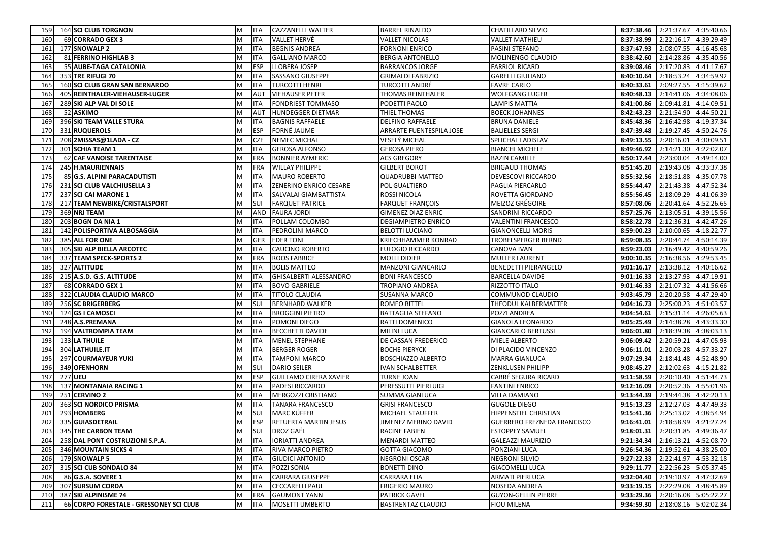| 159             | <b>164 SCI CLUB TORGNON</b>             | M | <b>ITA</b> | CAZZANELLI WALTER             | BARREL RINALDO            | <b>CHATILLARD SILVIO</b>           |                                  | 8:37:38.46 2:21:37.67 4:35:40.66 |            |
|-----------------|-----------------------------------------|---|------------|-------------------------------|---------------------------|------------------------------------|----------------------------------|----------------------------------|------------|
| 160             | 69 CORRADO GEX 3                        | M | <b>ITA</b> | <b>VALLET HERVÉ</b>           | <b>VALLET NICOLAS</b>     | <b>VALLET MATHIEU</b>              | 8:37:38.99                       | 2:22:16.17 4:39:29.49            |            |
| 161             | 177 SNOWALP 2                           | M | <b>ITA</b> | <b>BEGNIS ANDREA</b>          | <b>FORNONI ENRICO</b>     | PASINI STEFANO                     | 8:37:47.93                       | 2:08:07.55 4:16:45.68            |            |
| 162             | 81 FERRINO HIGHLAB 3                    | M | <b>ITA</b> | <b>GALLIANO MARCO</b>         | <b>BERGIA ANTONELLO</b>   | MOLINENGO CLAUDIO                  | 8:38:42.60                       | 2:14:28.86                       | 4:35:40.56 |
| 16 <sup>3</sup> | 55 AUBE-TAGA CATALONIA                  | M | <b>ESP</b> | LLOBERA JOSEP                 | <b>BARRANCOS JORGE</b>    | <b>FARRIOL RICARD</b>              | 8:39:08.46                       | 2:17:20.83                       | 4:41:17.67 |
| 164             | 353 TRE RIFUGI 70                       | M | <b>ITA</b> | SASSANO GIUSEPPE              | <b>GRIMALDI FABRIZIO</b>  | <b>GARELLI GIULIANO</b>            | 8:40:10.64                       | 2:18:53.24                       | 4:34:59.92 |
| 165             | 160 SCI CLUB GRAN SAN BERNARDO          | M | <b>ITA</b> | <b>TURCOTTI HENRI</b>         | TURCOTTI ANDRÉ            | <b>FAVRE CARLO</b>                 | 8:40:33.61                       | 2:09:27.55                       | 4:15:39.62 |
| 166             | 405 REINTHALER-VIEHAUSER-LUGER          | M | <b>AUT</b> | <b>VIEHAUSER PETER</b>        | THOMAS REINTHALER         | <b>WOLFGANG LUGER</b>              | 8:40:48.13                       | 2:14:41.06                       | 4:34:08.06 |
| 167             | 289 SKI ALP VAL DI SOLE                 | M | <b>ITA</b> | FONDRIEST TOMMASO             | PODETTI PAOLO             | LAMPIS MATTIA                      | 8:41:00.86                       | 2:09:41.81                       | 4:14:09.51 |
| 168             | 52 ASKIMO                               | M | <b>AUT</b> | <b>HUNDEGGER DIETMAR</b>      | THIEL THOMAS              | <b>BOECK JOHANNES</b>              | 8:42:43.23                       | 2:21:54.90                       | 4:44:50.21 |
| 169             | 396 SKI TEAM VALLE STURA                | M | <b>ITA</b> | <b>BAGNIS RAFFAELE</b>        | DELFINO RAFFAELE          | <b>BRUNA DANIELE</b>               | 8:45:48.36                       | 2:16:42.98                       | 4:19:37.34 |
| 170             | 331 RUQUEROLS                           | M | <b>ESP</b> | FORNÉ JAUME                   | ARRARTE FUENTESPILA JOSE  | <b>BALIELLES SERGI</b>             | 8:47:39.48                       | 2:19:27.45 4:50:24.76            |            |
| 171             | 208 2MISSAS@1LADA - CZ                  | M | <b>CZE</b> | <b>NEMEC MICHAL</b>           | VESELÝ MICHAL             | SPLICHAL LADISLAV                  | 8:49:13.55                       | 2:20:16.01                       | 4:30:09.51 |
| 172             | 301 SCHIA TEAM 1                        | M | <b>ITA</b> | <b>GEROSA ALFONSO</b>         | <b>GEROSA PIERO</b>       | <b>BIANCHI MICHELE</b>             | 8:49:46.92                       | 2:14:21.30                       | 4:22:02.07 |
| 173             | <b>62 CAF VANOISE TARENTAISE</b>        | M | <b>FRA</b> | <b>BONNIER AYMERIC</b>        | <b>ACS GREGORY</b>        | <b>BAZIN CAMILLE</b>               | 8:50:17.44                       | 2:23:00.04                       | 4:49:14.00 |
| 174             | 245 H.MAURIENNAIS                       | M | <b>FRA</b> | <b>WILLAY PHILIPPE</b>        | <b>GILBERT BOROT</b>      | <b>BRIGAUD THOMAS</b>              | 8:51:45.20                       | 2:19:43.08                       | 4:33:37.38 |
| 175             | 85 G.S. ALPINI PARACADUTISTI            | M | <b>ITA</b> | MAURO ROBERTO                 | <b>QUADRUBBI MATTEO</b>   | DEVESCOVI RICCARDO                 | 8:55:32.56                       | 2:18:51.88                       | 4:35:07.78 |
| 176             | 231 SCI CLUB VALCHIUSELLA 3             | M | <b>ITA</b> | ZENERINO ENRICO CESARE        | POL GUALTIERO             | PAGLIA PIERCARLO                   | 8:55:44.47                       | 2:21:43.38                       | 4:47:52.34 |
| 177             | 237 SCI CAI MARONE 1                    | M | <b>ITA</b> | SALVALAI GIAMBATTISTA         | ROSSI NICOLA              | ROVETTA GIORDANO                   | 8:55:56.45                       | 2:18:09.29 4:41:06.39            |            |
| 178             | 217 TEAM NEWBIKE/CRISTALSPORT           | M | SUI        | <b>FARQUET PATRICE</b>        | <b>FARQUET FRANÇOIS</b>   | MEIZOZ GRÉGOIRE                    | 8:57:08.06                       | 2:20:41.64                       | 4:52:26.65 |
| 179             | 369 NRJ TEAM                            | M | <b>AND</b> | <b>FAURA JORDI</b>            | <b>GIMENEZ DIAZ ENRIC</b> | SANDRINI RICCARDO                  | 8:57:25.76                       | 2:13:05.51                       | 4:39:15.56 |
| 180             | 203 BOGN DA NIA 1                       | M | <b>ITA</b> | POLLAM COLOMBO                | DEGIAMPIETRO ENRICO       | <b>VALENTINI FRANCESCO</b>         | 8:58:22.78                       | 2:12:36.31                       | 4:42:47.26 |
| 181             | 142 POLISPORTIVA ALBOSAGGIA             | M | <b>ITA</b> | PEDROLINI MARCO               | <b>BELOTTI LUCIANO</b>    | <b>GIANONCELLI MORIS</b>           | 8:59:00.23                       | 2:10:00.65                       | 4:18:22.77 |
| 182             | 385 ALL FOR ONE                         | M | <b>GER</b> | <b>EDER TONI</b>              | KRIECHHAMMER KONRAD       | TRÖBELSPERGER BERND                | 8:59:08.35                       | 2:20:44.74                       | 4:50:14.39 |
| 183             | 305 SKI ALP BIELLA ARCOTEC              | M | <b>ITA</b> | <b>CAUCINO ROBERTO</b>        | <b>EULOGIO RICCARDO</b>   | CANOVA IVAN                        | 8:59:23.03                       | 2:16:49.42                       | 4:40:59.26 |
| 184             | 337 TEAM SPECK-SPORTS 2                 | M | <b>FRA</b> | <b>ROOS FABRICE</b>           | MOLLI DIDIER              | MULLER LAURENT                     | 9:00:10.35                       | 2:16:38.56                       | 4:29:53.45 |
| 185             | 327 ALTITUDE                            | M | <b>ITA</b> | <b>BOLIS MATTEO</b>           | MANZONI GIANCARLO         | <b>BENEDETTI PIERANGELO</b>        | 9:01:16.17                       | 2:13:38.12 4:40:16.62            |            |
| 186             | 215 A.S.D. G.S. ALTITUDE                | M | <b>ITA</b> | <b>GHISALBERTI ALESSANDRO</b> | <b>BONI FRANCESCO</b>     | <b>BARCELLA DAVIDE</b>             | 9:01:16.33                       | 2:13:27.93                       | 4:47:19.91 |
| 187             | 68 CORRADO GEX 1                        | M | <b>ITA</b> | <b>BOVO GABRIELE</b>          | TROPIANO ANDREA           | RIZZOTTO ITALO                     | 9:01:46.33                       | 2:21:07.32                       | 4:41:56.66 |
| 188             | 322 CLAUDIA CLAUDIO MARCO               | M | <b>ITA</b> | TITOLO CLAUDIA                | <b>SUSANNA MARCO</b>      | COMMUNOD CLAUDIO                   | 9:03:45.79                       | 2:20:20.58                       | 4:47:29.40 |
| 189             | 256 SC BRIGERBERG                       | M | SUI        | BERNHARD WALKER               | ROMEO BITTEL              | THEODUL KALBERMATTER               | 9:04:16.73                       | 2:25:00.23                       | 4:51:03.57 |
| 190             | 124 GS I CAMOSCI                        | M | <b>ITA</b> | <b>BROGGINI PIETRO</b>        | BATTAGLIA STEFANO         | POZZI ANDREA                       | 9:04:54.61                       | 2:15:31.14 4:26:05.63            |            |
| 191             | 248 A.S.PREMANA                         | M | <b>ITA</b> | POMONI DIEGO                  | RATTI DOMENICO            | <b>GIANOLA LEONARDO</b>            | 9:05:25.49                       | 2:14:38.28                       | 4:43:33.30 |
| 192             | <b>194 VALTROMPIA TEAM</b>              | M | <b>ITA</b> | <b>BECCHETTI DAVIDE</b>       | MILINI LUCA               | <b>GIANCARLO BERTUSSI</b>          | 9:06:01.80                       | 2:18:39.38                       | 4:38:03.13 |
| 193             | 133 LA THUILE                           | M | <b>ITA</b> | <b>MENEL STEPHANE</b>         | DE CASSAN FREDERICO       | MIELE ALBERTO                      | 9:06:09.42                       | 2:20:59.21                       | 4:47:05.93 |
| 194             | 304 LATHUILE.IT                         | M | <b>ITA</b> | <b>BERGER ROGER</b>           | <b>BOCHE PIERYCK</b>      | DI PLACIDO VINCENZO                | 9:06:11.01                       | 2:20:03.28                       | 4:57:33.27 |
| 195             | 297 COURMAYEUR YUKI                     | M | <b>ITA</b> | TAMPONI MARCO                 | <b>BOSCHIAZZO ALBERTO</b> | <b>MARRA GIANLUCA</b>              | 9:07:29.34                       | 2:18:41.48 4:52:48.90            |            |
| 196             | 349 OFENHORN                            | M | SUI        | <b>DARIO SEILER</b>           | IVAN SCHALBETTER          | ZENKLUSEN PHILIPP                  | 9:08:45.27                       | 2:12:02.63                       | 4:15:21.82 |
| 197             | <b>277 UEU</b>                          | M | <b>ESP</b> | <b>GUILLAMO CIRERA XAVIER</b> | <b>TURNE JOAN</b>         | CABRÉ SEGURA RICARD                | 9:11:58.59                       | 2:20:10.40 4:51:44.73            |            |
| 198             | 137 MONTANAIA RACING 1                  | M | <b>ITA</b> | PADESI RICCARDO               | PERESSUTTI PIERLUIGI      | <b>FANTINI ENRICO</b>              | 9:12:16.09                       | 2:20:52.36                       | 4:55:01.96 |
| 199             | 251 CERVINO 2                           | M | <b>ITA</b> | MERGOZZI CRISTIANO            | SUMMA GIANLUCA            | <b>VILLA DAMIANO</b>               | 9:13:44.39                       | 2:19:44.38                       | 4:42:20.13 |
| 200             | 363 SCI NORDICO PRISMA                  | M | <b>ITA</b> | <b>TANARA FRANCESCO</b>       | <b>GRISI FRANCESCO</b>    | <b>GUGOLE DIEGO</b>                | 9:15:13.23                       | 2:12:27.03 4:47:49.33            |            |
| 201             | 293 HOMBERG                             | M | <b>SUI</b> | MARC KÜFFER                   | MICHAEL STAUFFER          | HIPPENSTIEL CHRISTIAN              | 9:15:41.36                       | 2:25:13.02 4:38:54.94            |            |
| 202             | 335 GUIASDETRAIL                        | M | <b>ESP</b> | RETUERTA MARTIN JESUS         | JIMENEZ MERINO DAVID      | <b>GUERRERO FREZNEDA FRANCISCO</b> |                                  | 9:16:41.01 2:18:58.99 4:21:27.24 |            |
| 203             | 345 THE CARBON TEAM                     | M | SUI        | <b>DROZ GAËL</b>              | <b>RACINE FABIEN</b>      | <b>ESTOPPEY SAMUEL</b>             | 9:18:01.31 2:20:31.85 4:49:36.47 |                                  |            |
| 204             | 258 DAL PONT COSTRUZIONI S.P.A.         | M | <b>ITA</b> | <b>IORIATTI ANDREA</b>        | MENARDI MATTEO            | <b>GALEAZZI MAURIZIO</b>           |                                  | 9:21:34.34 2:16:13.21 4:52:08.70 |            |
| 205             | 346 MOUNTAIN SICKS 4                    | M | <b>ITA</b> | RIVA MARCO PIETRO             | <b>GOTTA GIACOMO</b>      | PONZIANI LUCA                      | 9:26:54.36 2:19:52.61 4:38:25.00 |                                  |            |
| 206             | 179 SNOWALP 5                           | M | <b>ITA</b> | <b>GIUDICI ANTONIO</b>        | NEGRONI OSCAR             | <b>NEGRONI SILVIO</b>              | 9:27:22.33                       | 2:22:41.97 4:53:32.18            |            |
| 207             | 315 SCI CUB SONDALO 84                  | M | <b>ITA</b> | POZZI SONIA                   | <b>BONETTI DINO</b>       | <b>GIACOMELLI LUCA</b>             | 9:29:11.77                       | 2:22:56.23 5:05:37.45            |            |
| 208             | 86 G.S.A. SOVERE 1                      | M | <b>ITA</b> | <b>CARRARA GIUSEPPE</b>       | <b>CARRARA ELIA</b>       | <b>ARMATI PIERLUCA</b>             | 9:32:04.40                       | 2:19:10.97 4:47:32.69            |            |
| 209             | 307 SURSUM CORDA                        | M | <b>ITA</b> | <b>CECCARELLI PAUL</b>        | <b>FRIGERIO MAURO</b>     | NOSEDA ANDREA                      | 9:33:19.15                       | 2:22:29.08 4:48:45.89            |            |
| 210             | 387 SKI ALPINISME 74                    | M | <b>FRA</b> | <b>GAUMONT YANN</b>           | PATRICK GAVEL             | <b>GUYON-GELLIN PIERRE</b>         |                                  | 9:33:29.36 2:20:16.08 5:05:22.27 |            |
| 211             | 66 CORPO FORESTALE - GRESSONEY SCI CLUB | M | <b>ITA</b> | MOSETTI UMBERTO               | BASTRENTAZ CLAUDIO        | <b>FIOU MILENA</b>                 | 9:34:59.30                       | 2:18:08.16 5:02:02.34            |            |